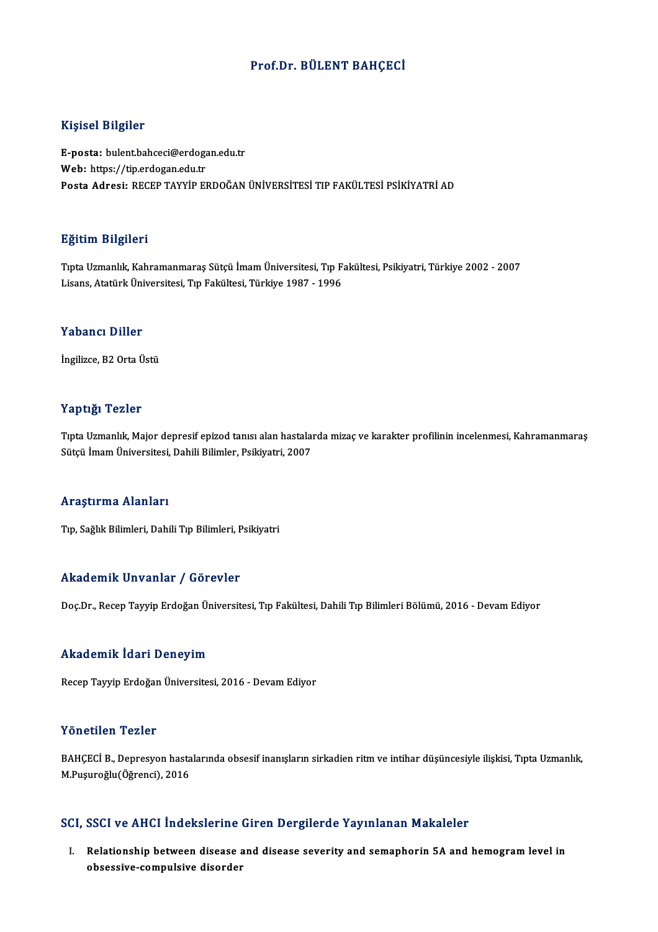## Prof.Dr. BÜLENT BAHÇECİ

## Kişisel Bilgiler

Kişisel Bilgiler<br>E-posta: bulent.bahceci@erdogan.edu.tr<br>Web: https://tip.ordogan.edu.tr miyisən birgirər<br>E-posta: bulentbahceci@erdoga<br>Web: https://tip.erdogan.edu.tr<br>Posta Adrasi: PECEP TAYVİP EL Web: https://tip.erdogan.edu.tr<br>Posta Adresi: RECEP TAYYİP ERDOĞAN ÜNİVERSİTESİ TIP FAKÜLTESİ PSİKİYATRİ AD

## Eğitim Bilgileri

TıptaUzmanlık,Kahramanmaraş Sütçü İmamÜniversitesi,Tıp Fakültesi,Psikiyatri,Türkiye 2002 -2007 Lisans,AtatürkÜniversitesi,Tıp Fakültesi,Türkiye 1987 -1996

### Yabancı Diller

İngilizce, B2 Orta Üstü

## Yaptığı Tezler

Yaptığı Tezler<br>Tıpta Uzmanlık, Major depresif epizod tanısı alan hastalarda mizaç ve karakter profilinin incelenmesi, Kahramanmaraş<br>Sütsü İmam Üniversitesi, Dabili Bilimler, Beikiyatri, 2007 1 upusar 1 02101<br>Tıpta Uzmanlık, Major depresif epizod tanısı alan hastalaı<br>Sütçü İmam Üniversitesi, Dahili Bilimler, Psikiyatri, 2007 Sütçü İmam Üniversitesi, Dahili Bilimler, Psikiyatri, 2007<br>Araştırma Alanları

Tıp, Sağlık Bilimleri, Dahili Tıp Bilimleri, Psikiyatri

## Akademik Unvanlar / Görevler

Doç.Dr., Recep Tayyip Erdoğan Üniversitesi, Tıp Fakültesi, Dahili Tıp Bilimleri Bölümü, 2016 - Devam Ediyor

## Akademik İdari Deneyim

RecepTayyipErdoğanÜniversitesi,2016 -DevamEdiyor

### Yönetilen Tezler

Yönetilen Tezler<br>BAHÇECİ B., Depresyon hastalarında obsesif inanışların sirkadien ritm ve intihar düşüncesiyle ilişkisi, Tıpta Uzmanlık,<br>M.Rugunoğlu (Öğrensi), 2016 1 SHSENSH 1 SHSI<br>BAHÇECİ B., Depresyon hasta<br>M.Puşuroğlu(Öğrenci), 2016

# M.Puşuroğlu(Öğrenci), 2016<br>SCI, SSCI ve AHCI İndekslerine Giren Dergilerde Yayınlanan Makaleler

I. Relationship between disease and disease severity and semaphorin 5A and hemogramlevel in obses voltrist masholoring<br>Relationship between disease<br>obsessive-compulsive disorder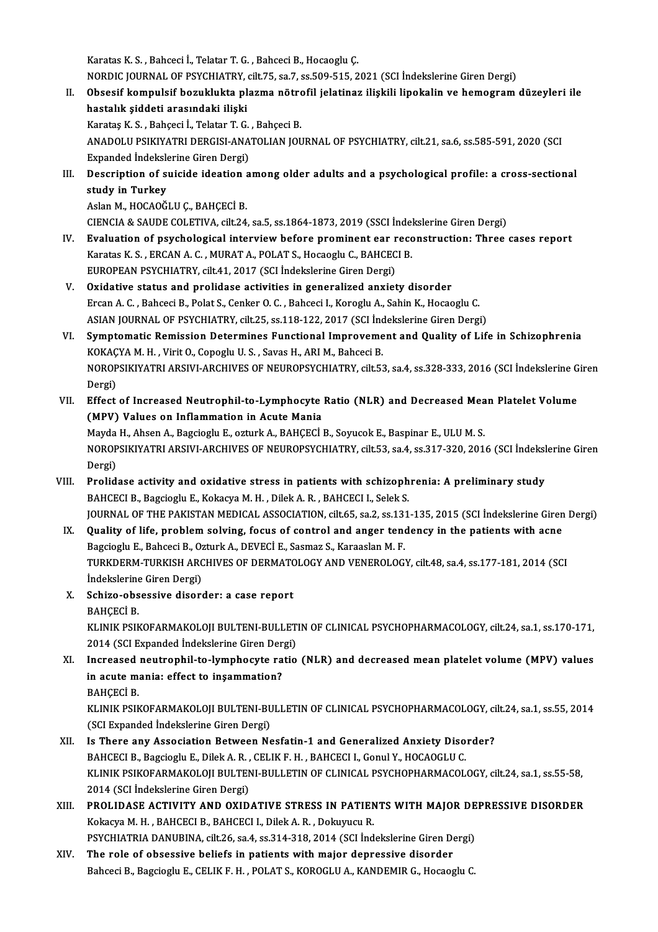Karatas K.S., Bahceci İ., Telatar T.G., Bahceci B., Hocaoglu Ç.

Karatas K. S. , Bahceci İ., Telatar T. G. , Bahceci B., Hocaoglu Ç.<br>NORDIC JOURNAL OF PSYCHIATRY, cilt.75, sa.7, ss.509-515, 2021 (SCI İndekslerine Giren Dergi)<br>Obasaif kampulaif beruklukta plarma pötrafil ialatinar iliaki

- II. Obsesif kompulsif bozuklukta plazma nötrofil jelatinaz ilişkili lipokalin ve hemogram düzeyleri ile<br>hastalık şiddeti arasındaki ilişki NORDIC JOURNAL OF PSYCHIATRY,<br>Obsesif kompulsif bozuklukta pl<br>hastalık şiddeti arasındaki ilişki<br>Karatas K.S., Pahassi İ. Telatar T.G. KarataşK.S. ,Bahçeci İ.,TelatarT.G. ,BahçeciB. hastalık şiddeti arasındaki ilişki<br>Karataş K. S. , Bahçeci İ., Telatar T. G. , Bahçeci B.<br>ANADOLU PSIKIYATRI DERGISI-ANATOLIAN JOURNAL OF PSYCHIATRY, cilt.21, sa.6, ss.585-591, 2020 (SCI<br>Evnanded İndekslerine Ciren Dergi) Karataş K. S. , Bahçeci İ., Telatar T. G.<br>ANADOLU PSIKIYATRI DERGISI-ANA<br>Expanded İndekslerine Giren Dergi)<br>Description of suiside idention a Expanded İndekslerine Giren Dergi)
- III. Description of suicide ideation among older adults and a psychological profile: a cross-sectional study in Turkey

Aslan M., HOCAOĞLU Ç., BAHÇECİ B.

CIENCIA&SAUDECOLETIVA, cilt.24, sa.5, ss.1864-1873,2019 (SSCI İndekslerineGirenDergi)

- IV. Evaluation of psychological interview before prominent ear reconstruction: Three cases report Karatas K. S., ERCAN A. C., MURAT A., POLAT S., Hocaoglu C., BAHCECI B. EUROPEAN PSYCHIATRY, cilt.41, 2017 (SCI İndekslerine Giren Dergi)
- V. Oxidative status and prolidase activities in generalized anxiety disorder EUROPEAN PSYCHIATRY, cilt.41, 2017 (SCI İndekslerine Giren Dergi)<br>Oxidative status and prolidase activities in generalized anxiety disorder<br>Ercan A.C., Bahceci B., Polat S., Cenker O.C., Bahceci I., Koroglu A., Sahin K., H Oxidative status and prolidase activities in generalized anxiety disorder<br>Ercan A. C. , Bahceci B., Polat S., Cenker O. C. , Bahceci I., Koroglu A., Sahin K., Hocaoglu C.<br>ASIAN JOURNAL OF PSYCHIATRY, cilt.25, ss.118-122, 2 ASIAN JOURNAL OF PSYCHIATRY, cilt.25, ss.118-122, 2017 (SCI İndekslerine Giren Dergi)
- VI. Symptomatic Remission Determines Functional Improvement and Quality of Life in Schizophrenia Symptomatic Remission Determines Functional Improvement and Quality of Life in Schizophrenia<br>KOKAÇYA M. H. , Virit O., Copoglu U. S. , Savas H., ARI M., Bahceci B.<br>NOROPSIKIYATRI ARSIVI-ARCHIVES OF NEUROPSYCHIATRY, cilt.53 KOKAÇ<br>NOROP<br>Dergi)<br>Effect NOROPSIKIYATRI ARSIVI-ARCHIVES OF NEUROPSYCHIATRY, cilt.53, sa.4, ss.328-333, 2016 (SCI İndekslerine G<br>Dergi)<br>VII. Effect of Increased Neutrophil-to-Lymphocyte Ratio (NLR) and Decreased Mean Platelet Volume<br>(MBV) Volues on
- Dergi)<br>VII. Effect of Increased Neutrophil-to-Lymphocyte Ratio (NLR) and Decreased Mean Platelet Volume<br>(MPV) Values on Inflammation in Acute Mania Effect of Increased Neutrophil-to-Lymphocyte Ratio (NLR) and Decreased Mea<br>(MPV) Values on Inflammation in Acute Mania<br>Mayda H., Ahsen A., Bagcioglu E., ozturk A., BAHÇECİ B., Soyucok E., Baspinar E., ULU M. S.<br>NOROBSIKIVA

(MPV) Values on Inflammation in Acute Mania<br>Mayda H., Ahsen A., Bagcioglu E., ozturk A., BAHÇECİ B., Soyucok E., Baspinar E., ULU M. S.<br>NOROPSIKIYATRI ARSIVI-ARCHIVES OF NEUROPSYCHIATRY, cilt.53, sa.4, ss.317-320, 2016 (SC Mayda<br>NOROP<br>Dergi)<br>Prolid NOROPSIKIYATRI ARSIVI-ARCHIVES OF NEUROPSYCHIATRY, cilt.53, sa.4, ss.317-320, 2016 (SCI İndeksl<br>Dergi)<br>VIII. Prolidase activity and oxidative stress in patients with schizophrenia: A preliminary study<br>PAUCECLE PROGISCULE K

- Dergi)<br>BAHCECI B., Bagcioglu E., Kokacya M. H. , Dilek A. R. , BAHCECI I., Selek S.<br>BAHCECI B., Bagcioglu E., Kokacya M. H. , Dilek A. R. , BAHCECI I., Selek S. Prolidase activity and oxidative stress in patients with schizophrenia: A preliminary study<br>BAHCECI B., Bagcioglu E., Kokacya M. H. , Dilek A. R. , BAHCECI I., Selek S.<br>JOURNAL OF THE PAKISTAN MEDICAL ASSOCIATION, cilt.65, BAHCECI B., Bagcioglu E., Kokacya M. H., Dilek A. R., BAHCECI I., Selek S.<br>JOURNAL OF THE PAKISTAN MEDICAL ASSOCIATION, cilt.65, sa.2, ss.131-135, 2015 (SCI Indekslerine Giren<br>IX. Quality of life, problem solving, focus of
	- JOURNAL OF THE PAKISTAN MEDICAL ASSOCIATION, cilt.65, sa.2, ss.13<br>Quality of life, problem solving, focus of control and anger tend<br>Bagcioglu E., Bahceci B., Ozturk A., DEVECİ E., Sasmaz S., Karaaslan M. F.<br>TURKDERM TURKIS Quality of life, problem solving, focus of control and anger tendency in the patients with acne<br>Bagcioglu E., Bahceci B., Ozturk A., DEVECİ E., Sasmaz S., Karaaslan M. F.<br>TURKDERM-TURKISH ARCHIVES OF DERMATOLOGY AND VENERO Bagcioglu E., Bahceci B., Oz<br>TURKDERM-TURKISH ARC<br>İndekslerine Giren Dergi)<br>Sahize abasasiya disar İndekslerine Giren Dergi)
	- X. Schizo-obsessive disorder: a case report Schizo-obsessive disorder: a case report<br>BAHÇECİ B.<br>KLINIK PSIKOFARMAKOLOJI BULTENI-BULLETIN OF CLINICAL PSYCHOPHARMACOLOGY, cilt.24, sa.1, ss.170-171,<br>2014 (SCLEupanded İndekalerine Giren Dergi) BAHÇECİ B.<br>KLINIK PSIKOFARMAKOLOJI BULTENI-BULLET<br>2014 (SCI Expanded İndekslerine Giren Dergi)<br>Insreased neutrophil te lumphesute ratio KLINIK PSIKOFARMAKOLOJI BULTENI-BULLETIN OF CLINICAL PSYCHOPHARMACOLOGY, cilt.24, sa.1, ss.170-171,<br>2014 (SCI Expanded Indekslerine Giren Dergi)<br>XI. Increased neutrophil-to-lymphocyte ratio (NLR) and decreased mean platele
	- 2014 (SCI Expanded İndekslerine Giren Der<br>Increased neutrophil-to-lymphocyte ra<br>in acute mania: effect to inşammation?<br>PAHCECI P Increased<br>in acute m<br>BAHÇECİ B.<br>EU INIE BEIL in acute mania: effect to inşammation?<br>BAHÇECİ B.<br>KLINIK PSIKOFARMAKOLOJI BULTENI-BULLETIN OF CLINICAL PSYCHOPHARMACOLOGY, cilt.24, sa.1, ss.55, 2014<br>(SCLEvnanded İndekslerine Ciren Dergi)

BAHÇECİ B.<br>KLINIK PSIKOFARMAKOLOJI BULTENI-BU<br>(SCI Expanded İndekslerine Giren Dergi)<br>Is There any Assosiation Between Ne KLINIK PSIKOFARMAKOLOJI BULTENI-BULLETIN OF CLINICAL PSYCHOPHARMACOLOGY, ci<br>(SCI Expanded Indekslerine Giren Dergi)<br>XII. Is There any Association Between Nesfatin-1 and Generalized Anxiety Disorder?<br>PAUCECLE PREGISCULE DIS (SCI Expanded Indekslerine Giren Dergi)<br>8.B. There any Association Between Nesfatin-1 and Generalized Anxiety Disorder?

- KLINIK PSIKOFARMAKOLOJI BULTENI-BULLETIN OF CLINICAL PSYCHOPHARMACOLOGY, cilt.24, sa.1, ss.55-58,<br>2014 (SCI İndekslerine Giren Dergi) BAHCECI B., Bagcioglu E., Dilek A. R., CELIK F. H., BAHCECI I., Gonul Y., HOCAOGLU C. KLINIK PSIKOFARMAKOLOJI BULTENI-BULLETIN OF CLINICAL PSYCHOPHARMACOLOGY, cilt.24, sa.1, ss.55-58,<br>2014 (SCI İndekslerine Giren Dergi)<br>XIII. PROLIDASE ACTIVITY AND OXIDATIVE STRESS IN PATIENTS WITH MAJOR DEPRESSIVE DISORDER
- 2014 (SCI İndekslerine Giren Dergi)<br>PROLIDASE ACTIVITY AND OXIDATIVE STRESS IN PATIEN<br>Kokacya M. H. , BAHCECI B., BAHCECI I., Dilek A. R. , Dokuyucu R.<br>RSYCHIATRIA DANIJBINA silt 26 so 4 ss 314 319 3014 (SCI İnd PROLIDASE ACTIVITY AND OXIDATIVE STRESS IN PATIENTS WITH MAJOR DE<br>Kokacya M. H. , BAHCECI B., BAHCECI I., Dilek A. R. , Dokuyucu R.<br>PSYCHIATRIA DANUBINA, cilt.26, sa.4, ss.314-318, 2014 (SCI İndekslerine Giren Dergi)<br>The r Kokacya M. H. , BAHCECI B., BAHCECI I., Dilek A. R. , Dokuyucu R.<br>PSYCHIATRIA DANUBINA, cilt.26, sa.4, ss.314-318, 2014 (SCI Indekslerine Giren Dergi)<br>XIV. The role of obsessive beliefs in patients with major depressive di
- Bahceci B., Bagcioglu E., CELIK F. H., POLAT S., KOROGLU A., KANDEMIR G., Hocaoglu C.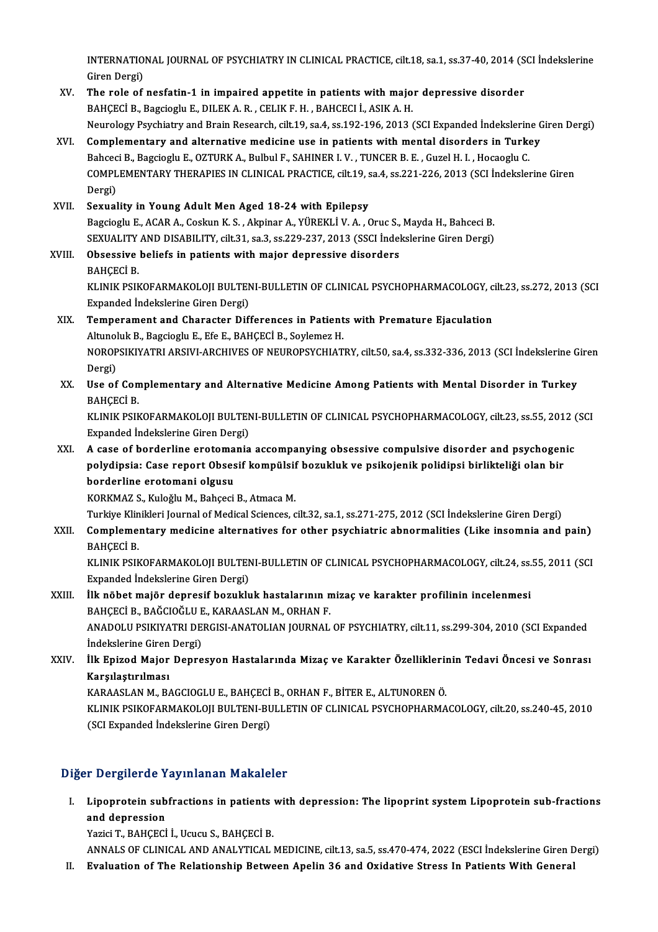INTERNATIONAL JOURNAL OF PSYCHIATRY IN CLINICAL PRACTICE, cilt.18, sa.1, ss.37-40, 2014 (SCI İndekslerine<br>Ciron Dargi) INTERNATIO<br>Giren Dergi)<br>The role of INTERNATIONAL JOURNAL OF PSYCHIATRY IN CLINICAL PRACTICE, cilt.18, sa.1, ss.37-40, 2014 (S<br>Giren Dergi)<br>XV. The role of nesfatin-1 in impaired appetite in patients with major depressive disorder<br>RAHCECLE RESCRIPTE DU EKA

- Giren Dergi)<br>BAHÇECİ B., Bagcioglu E., DILEK A. R. , CELIK F. H. , BAHCECI İ., ASIK A. H.<br>BAHÇECİ B., Bagcioglu E., DILEK A. R. , CELIK F. H. , BAHCECI İ., ASIK A. H. Neurology Psychiatry and Brain Research, cilt.19, sa.4, ss.192-196, 2013 (SCI Expanded İndekslerine Giren Dergi)
- XVI. Complementary and alternative medicine use in patients with mental disorders in Turkey Neurology Psychiatry and Brain Research, cilt.19, sa.4, ss.192-196, 2013 (SCI Expanded Indekslerin<br>Complementary and alternative medicine use in patients with mental disorders in Turk<br>Bahceci B., Bagcioglu E., OZTURK A., B Complementary and alternative medicine use in patients with mental disorders in Turkey<br>Bahceci B., Bagcioglu E., OZTURK A., Bulbul F., SAHINER I. V. , TUNCER B. E. , Guzel H. I. , Hocaoglu C.<br>COMPLEMENTARY THERAPIES IN CLI Bahcec<br>COMPL<br>Dergi)<br>Sexuel COMPLEMENTARY THERAPIES IN CLINICAL PRACTICE, cilt.19, sa.4, ss.221-226, 2013 (SCI İndekslerine Giren<br>Dergi)<br>XVII. Sexuality in Young Adult Men Aged 18-24 with Epilepsy
- Dergi)<br>S<mark>exuality in Young Adult Men Aged 18-24 with Epilepsy</mark><br>Bagcioglu E., ACAR A., Coskun K. S. , Akpinar A., YÜREKLİ V. A. , Oruc S., Mayda H., Bahceci B.<br>SEYUALITY AND DISABU ITY .qilt 31 .qq 3 .qq 329, 327, 2012.(SSC Sexuality in Young Adult Men Aged 18-24 with Epilepsy<br>Bagcioglu E., ACAR A., Coskun K. S. , Akpinar A., YÜREKLİ V. A. , Oruc S., Mayda H., Bahceci B.<br>SEXUALITY AND DISABILITY, cilt.31, sa.3, ss.229-237, 2013 (SSCI İndeksle Bagcioglu E., ACAR A., Coskun K. S. , Akpinar A., YÜREKLİ V. A. , Oruc S.,<br>SEXUALITY AND DISABILITY, cilt.31, sa.3, ss.229-237, 2013 (SSCI İndel<br>XVIII. Obsessive beliefs in patients with major depressive disorders
- SEXUALITY<br>Obsessive<br>BAHÇECİ B.<br>EU INIE BEIL Obsessive beliefs in patients with major depressive disorders<br>BAHÇECİ B.<br>KLINIK PSIKOFARMAKOLOJI BULTENI-BULLETIN OF CLINICAL PSYCHOPHARMACOLOGY, cilt.23, ss.272, 2013 (SCI<br>Evnanded İndekalerine Ciren Dergi) BAHÇECİ B.<br>KLINIK PSIKOFARMAKOLOJI BULTEN<br>Expanded İndekslerine Giren Dergi)<br>Temnerement and Charaster Dif

## KLINIK PSIKOFARMAKOLOJI BULTENI-BULLETIN OF CLINICAL PSYCHOPHARMACOLOGY, c<br>Expanded Indekslerine Giren Dergi)<br>XIX. Temperament and Character Differences in Patients with Premature Ejaculation Expanded Indekslerine Giren Dergi)<br>Temperament and Character Differences in Patient<br>Altunoluk B., Bagcioglu E., Efe E., BAHÇECİ B., Soylemez H.<br>NOROBSIKIYATRI ARSIVI ARCHIVES OF NEUROBSYCHIAT NOROPSIKIYATRI ARSIVI-ARCHIVES OF NEUROPSYCHIATRY, cilt.50, sa.4, ss.332-336, 2013 (SCI İndekslerine Giren<br>Dergi) Altunoluk B., Bagcioglu E., Efe E., BAHCECI B., Soylemez H. NOROPSIKIYATRI ARSIVI-ARCHIVES OF NEUROPSYCHIATRY, cilt.50, sa.4, ss.332-336, 2013 (SCI İndekslerine G<br>Dergi)<br>XX. Use of Complementary and Alternative Medicine Among Patients with Mental Disorder in Turkey<br>RAHCECLE

Dergi)<br><mark>Use of Con</mark><br>BAHÇECİ B.<br>KUNIK BSIK Use of Complementary and Alternative Medicine Among Patients with Mental Disorder in Turkey<br>BAHÇECİ B.<br>KLINIK PSIKOFARMAKOLOJI BULTENI-BULLETIN OF CLINICAL PSYCHOPHARMACOLOGY, cilt.23, ss.55, 2012 (SCI<br>Evnanded İndekslerin

BAHÇECİ B.<br>KLINIK PSIKOFARMAKOLOJI BULTEN<br>Expanded İndekslerine Giren Dergi)<br>A sase of berderline eratemania KLINIK PSIKOFARMAKOLOJI BULTENI-BULLETIN OF CLINICAL PSYCHOPHARMACOLOGY, cilt.23, ss.55, 2012 (<br>Expanded Indekslerine Giren Dergi)<br>XXI. A case of borderline erotomania accompanying obsessive compulsive disorder and psychog

Expanded İndekslerine Giren Dergi)<br>A case of borderline erotomania accompanying obsessive compulsive disorder and psychogen<br>polydipsia: Case report Obsesif kompülsif bozukluk ve psikojenik polidipsi birlikteliği olan bir<br>b A case of borderline erotoma<br>polydipsia: Case report Obses<br>borderline erotomani olgusu<br>KORKMAZ S. Kuložlu M. Pobseci polydipsia: Case report Obsesif kompülsif bozukluk ve psikojenik polidipsi birlikteliği olan bir<br>borderline erotomani olgusu<br>KORKMAZ S., Kuloğlu M., Bahçeci B., Atmaca M. borderline erotomani olgusu<br>KORKMAZ S., Kuloğlu M., Bahçeci B., Atmaca M.<br>Turkiye Klinikleri Journal of Medical Sciences, cilt.32, sa.1, ss.271-275, 2012 (SCI İndekslerine Giren Dergi)<br>Complementery medicine elternetiyas f

KORKMAZ S., Kuloğlu M., Bahçeci B., Atmaca M.<br>Turkiye Klinikleri Journal of Medical Sciences, cilt.32, sa.1, ss.271-275, 2012 (SCI İndekslerine Giren Dergi)<br>XXII. Complementary medicine alternatives for other psychiatr Turkiye Klin<br>Compleme:<br>BAHÇECİ B.<br>KUNIK BEIK Complementary medicine alternatives for other psychiatric abnormalities (Like insomnia and pain)<br>BAHÇECİ B.<br>KLINIK PSIKOFARMAKOLOJI BULTENI-BULLETIN OF CLINICAL PSYCHOPHARMACOLOGY, cilt.24, ss.55, 2011 (SCI<br>Eunanded İndelt

BAHÇECİ B.<br>KLINIK PSIKOFARMAKOLOJI BULTEN<br>Expanded İndekslerine Giren Dergi)<br>İlk nöbet majör denresif beruldu KLINIK PSIKOFARMAKOLOJI BULTENI-BULLETIN OF CLINICAL PSYCHOPHARMACOLOGY, cilt.24, ss.<br>Expanded Indekslerine Giren Dergi)<br>XXIII. IIk nöbet majör depresif bozukluk hastalarının mizaç ve karakter profilinin incelenmesi

## Expanded İndekslerine Giren Dergi)<br>İlk nöbet majör depresif bozukluk hastalarının n<br>BAHÇECİ B., BAĞCIOĞLU E., KARAASLAN M., ORHAN F.<br>ANADOLU BSIKIYATRI DERÇISLANATOLIAN JOUPNAL İlk nöbet majör depresif bozukluk hastalarının mizaç ve karakter profilinin incelenmesi<br>BAHÇECİ B., BAĞCIOĞLU E., KARAASLAN M., ORHAN F.<br>ANADOLU PSIKIYATRI DERGISI-ANATOLIAN JOURNAL OF PSYCHIATRY, cilt.11, ss.299-304, 2010

BAHÇECİ B., BAĞCIOĞLU E<br>ANADOLU PSIKIYATRI DE<br>İndekslerine Giren Dergi)<br>İlk Enizod Major Denre ANADOLU PSIKIYATRI DERGISI-ANATOLIAN JOURNAL OF PSYCHIATRY, cilt.11, ss.299-304, 2010 (SCI Expanded<br>İndekslerine Giren Dergi)<br>XXIV. İlk Epizod Major Depresyon Hastalarında Mizaç ve Karakter Özelliklerinin Tedavi Öncesi ve

İndekslerine Giren<br>İlk Epizod Major<br>Karşılaştırılması<br>KARAASI AN M. BA İlk Epizod Major Depresyon Hastalarında Mizaç ve Karakter Özellikleriı<br>Karşılaştırılması<br>KARAASLAN M., BAGCIOGLU E., BAHÇECİ B., ORHAN F., BİTER E., ALTUNOREN Ö.<br>KLINIK RSIKOFARMAKOLOU RULTENL RULLETIN OF CLINICAL RSYCHORH

Karşılaştırılması<br>KARAASLAN M., BAGCIOGLU E., BAHÇECİ B., ORHAN F., BİTER E., ALTUNOREN Ö.<br>KLINIK PSIKOFARMAKOLOJI BULTENI-BULLETIN OF CLINICAL PSYCHOPHARMACOLOGY, cilt.20, ss.240-45, 2010<br>(SCL Evnanded İndekslerine Ciren KARAASLAN M., BAGCIOGLU E., BAHÇECİ<br>KLINIK PSIKOFARMAKOLOJI BULTENI-BU<br>(SCI Expanded İndekslerine Giren Dergi)

# (SCI Expanded İndekslerine Giren Dergi)<br>Diğer Dergilerde Yayınlanan Makaleler

Iger Dergilerde Yayınlanan Makaleler<br>I. Lipoprotein subfractions in patients with depression: The lipoprint system Lipoprotein sub-fractions<br>And depression r Bergherae 1<br>Lipoprotein sub<br>and depression<br>Variei T. BAHCECI Lipoprotein subfractions in patients<br>and depression<br>Yazici T., BAHÇECİ İ., Ucucu S., BAHÇECİ B.<br>ANNALS OF CLINICAL AND ANALYTICAL I and depression<br>Yazici T., BAHÇECİ İ., Ucucu S., BAHÇECİ B.<br>ANNALS OF CLINICAL AND ANALYTICAL MEDICINE, cilt.13, sa.5, ss.470-474, 2022 (ESCI İndekslerine Giren Dergi)<br>Evaluation of The Belationship Betysen Anelin 36 and Ov

Yazici T., BAHÇECİ İ., Ucucu S., BAHÇECİ B.<br>ANNALS OF CLINICAL AND ANALYTICAL MEDICINE, cilt.13, sa.5, ss.470-474, 2022 (ESCI İndekslerine Giren D<br>II. Evaluation of The Relationship Between Apelin 36 and Oxidative Stre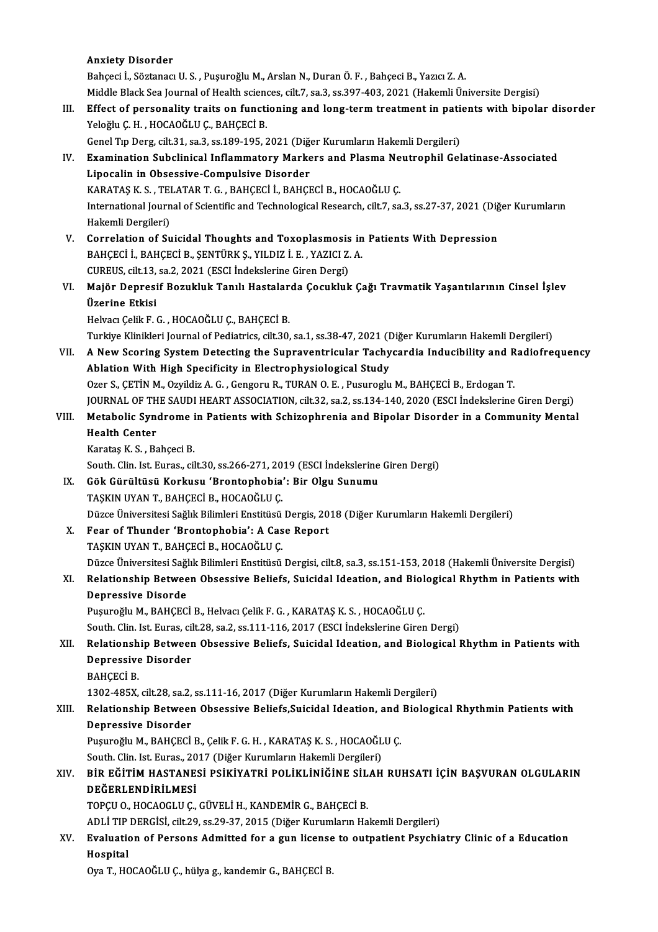## Anxiety Disorder A<mark>nxiety Disorder</mark><br>Bahçeci İ., Söztanacı U. S. , Puşuroğlu M., Arslan N., Duran Ö. F. , Bahçeci B., Yazıcı Z. A.<br>Middle Plask Ses Journal of Hoalth esisness, silt 7, sa 3, sa 397,403, 2021 (Haltomli Ün Anxiety Disorder<br>Bahçeci İ., Söztanacı U. S. , Puşuroğlu M., Arslan N., Duran Ö. F. , Bahçeci B., Yazıcı Z. A.<br>Middle Black Sea Journal of Health sciences, cilt.7, sa.3, ss.397-403, 2021 (Hakemli Üniversite Dergisi)<br>Effect Bahçeci İ., Söztanacı U. S. , Puşuroğlu M., Arslan N., Duran Ö. F. , Bahçeci B., Yazıcı Z. A.<br>Middle Black Sea Journal of Health sciences, cilt.7, sa.3, ss.397-403, 2021 (Hakemli Üniversite Dergisi)<br>III. Effect of personal Middle Black Sea Journal of Health science<br>Effect of personality traits on functi<br>Yeloğlu Ç. H. , HOCAOĞLU Ç., BAHÇECİ B.<br>Canal Tin Dars silt 31, sa 3, ss 199, 195, 3 Effect of personality traits on functioning and long-term treatment in pati-<br>Yeloğlu Ç. H. , HOCAOĞLU Ç., BAHÇECİ B.<br>Genel Tıp Derg, cilt.31, sa.3, ss.189-195, 2021 (Diğer Kurumların Hakemli Dergileri)<br>Examination Subelini Yeloğlu Ç. H. , HOCAOĞLU Ç., BAHÇECİ B.<br>Genel Tıp Derg, cilt.31, sa.3, ss.189-195, 2021 (Diğer Kurumların Hakemli Dergileri)<br>IV. Examination Subclinical Inflammatory Markers and Plasma Neutrophil Gelatinase-Associated<br>I in Genel Tıp Derg, cilt.31, sa.3, ss.189-195, 2021 (Diğən)<br>Examination Subclinical Inflammatory Marke<br>Lipocalin in Obsessive-Compulsive Disorder<br>KARATAS K.S., TELATAR T.G., RAHCECLİ, RAHCE Examination Subclinical Inflammatory Markers and Plasma Ne<br>Lipocalin in Obsessive-Compulsive Disorder<br>KARATAŞ K. S. , TELATAR T. G. , BAHÇECİ İ., BAHÇECİ B., HOCAOĞLU Ç.<br>International Journal of Scientific and Technologica Lipocalin in Obsessive-Compulsive Disorder<br>KARATAŞ K. S. , TELATAR T. G. , BAHÇECİ İ., BAHÇECİ B., HOCAOĞLU Ç.<br>International Journal of Scientific and Technological Research, cilt.7, sa.3, ss.27-37, 2021 (Diğer Kurumların<br> KARATAŞ K. S. , TEI<br>International Journ<br>Hakemli Dergileri)<br>Correlation of Su International Journal of Scientific and Technological Research, cilt.7, sa.3, ss.27-37, 2021 (Dig<br>Hakemli Dergileri)<br>V. Correlation of Suicidal Thoughts and Toxoplasmosis in Patients With Depression<br>RAHCECLI RAHCECLI RENTI Hakemli Dergileri)<br>V. Correlation of Suicidal Thoughts and Toxoplasmosis in Patients With Depression<br>BAHÇECİ İ., BAHÇECİ B., ŞENTÜRK Ş., YILDIZ İ. E. , YAZICI Z. A. Correlation of Suicidal Thoughts and Toxoplasmosis<br>BAHÇECİ İ., BAHÇECİ B., ŞENTÜRK Ş., YILDIZ İ. E. , YAZICI Z.<br>CUREUS, cilt.13, sa.2, 2021 (ESCI İndekslerine Giren Dergi)<br>Maiğr Donresif Bozukluk Tanılı Hastalarda Cosukluk BAHÇECİ İ., BAHÇECİ B., ŞENTÜRK Ş., YILDIZ İ. E. , YAZICI Z. A.<br>CUREUS, cilt.13, sa.2, 2021 (ESCI İndekslerine Giren Dergi)<br>VI. Majör Depresif Bozukluk Tanılı Hastalarda Çocukluk Çağı Travmatik Yaşantılarının Cinsel İş CUREUS, cilt.13,<br>Majõr Depresi<br>Üzerine Etkisi<br>Helves: Celik E Majör Depresif Bozukluk Tanılı Hastalar<br>Üzerine Etkisi<br>Helvacı Çelik F. G. , HOCAOĞLU Ç., BAHÇECİ B.<br>Turkiye Klinikleri Journal of Bodiatrice, sik 20. Üzerine Etkisi<br>Helvacı Çelik F. G. , HOCAOĞLU Ç., BAHÇECİ B.<br>Turkiye Klinikleri Journal of Pediatrics, cilt.30, sa.1, ss.38-47, 2021 (Diğer Kurumların Hakemli Dergileri) Helvacı Çelik F. G. , HOCAOĞLU Ç., BAHÇECİ B.<br>Turkiye Klinikleri Journal of Pediatrics, cilt.30, sa.1, ss.38-47, 2021 (Diğer Kurumların Hakemli Dergileri)<br>VII. A New Scoring System Detecting the Supraventricular Tachyc Turkiye Klinikleri Journal of Pediatrics, cilt.30, sa.1, ss.38-47, 2021 (I<br>A New Scoring System Detecting the Supraventricular Tachy<br>Ablation With High Specificity in Electrophysiological Study<br>Oren S. GETIN M. Orvildir A. A New Scoring System Detecting the Supraventricular Tachycardia Inducibility and R<br>Ablation With High Specificity in Electrophysiological Study<br>Ozer S., ÇETİN M., Ozyildiz A. G. , Gengoru R., TURAN O. E. , Pusuroglu M., BA Ablation With High Specificity in Electrophysiological Study<br>Ozer S., ÇETİN M., Ozyildiz A. G. , Gengoru R., TURAN O. E. , Pusuroglu M., BAHÇECİ B., Erdogan T.<br>JOURNAL OF THE SAUDI HEART ASSOCIATION, cilt.32, sa.2, ss.134-Ozer S., ÇETİN M., Ozyildiz A. G. , Gengoru R., TURAN O. E. , Pusuroglu M., BAHÇECİ B., Erdogan T.<br>JOURNAL OF THE SAUDI HEART ASSOCIATION, cilt.32, sa.2, ss.134-140, 2020 (ESCI İndekslerine Giren Dergi)<br>VIII. Metabolic Syn JOURNAL OF TH<br>Metabolic Syn<br>Health Center<br>Karatas K.S., Be Metabolic Syndrome<br>Health Center<br>Karataş K.S., Bahçeci B.<br>South Clin Jet Eures, sil Health Center<br>Karataş K. S. , Bahçeci B.<br>South. Clin. Ist. Euras., cilt.30, ss.266-271, 2019 (ESCI İndekslerine Giren Dergi)<br>Gök Günültüsü Korkusu (Brantanbabia), Bir Olgu Sunumu Karataş K. S. , Bahçeci B.<br>South. Clin. Ist. Euras., cilt.30, ss.266-271, 2019 (ESCI İndekslerine<br>IX. Gök Gürültüsü Korkusu 'Brontophobia': Bir Olgu Sunumu<br>TASKIN UVAN T. BAHÇEÇİ B. HOÇAQĞLU C South. Clin. Ist. Euras., cilt.30, ss.266-271, 20<br>Gök Gürültüsü Korkusu 'Brontophobia'<br>TAŞKIN UYAN T., BAHÇECİ B., HOCAOĞLU Ç.<br>Düzee Üniversitesi Sağlık Bilimleri Enstitüsü Gök Gürültüsü Korkusu 'Brontophobia': Bir Olgu Sunumu<br>TAŞKIN UYAN T., BAHÇECİ B., HOCAOĞLU Ç.<br>Düzce Üniversitesi Sağlık Bilimleri Enstitüsü Dergis, 2018 (Diğer Kurumların Hakemli Dergileri)<br>Fear of Thundor 'Prontophobia': TAŞKIN UYAN T., BAHÇECİ B., HOCAOĞLU Ç.<br>Düzce Üniversitesi Sağlık Bilimleri Enstitüsü Dergis, 20<br>X. Fear of Thunder 'Brontophobia': A Case Report<br>TASKIN UYAN T., BAHCECİ B., HOCAOĞLU C. Düzce Üniversitesi Sağlık Bilimleri Enstitüsü<br>Fear of Thunder 'Brontophobia': A Cas<br>TAŞKIN UYAN T., BAHÇECİ B., HOCAOĞLU Ç.<br>Düzce Üniversitesi Sağlık Bilimleri Enstitüsü. Fear of Thunder 'Brontophobia': A Case Report<br>TAŞKIN UYAN T., BAHÇECİ B., HOCAOĞLU Ç.<br>Düzce Üniversitesi Sağlık Bilimleri Enstitüsü Dergisi, cilt.8, sa.3, ss.151-153, 2018 (Hakemli Üniversite Dergisi)<br>Belationabin Betusen TAŞKIN UYAN T., BAHÇECİ B., HOCAOĞLU Ç.<br>Düzce Üniversitesi Sağlık Bilimleri Enstitüsü Dergisi, cilt.8, sa.3, ss.151-153, 2018 (Hakemli Üniversite Dergisi)<br>XI. Relationship Between Obsessive Beliefs, Suicidal Ideation, Düzce Üniversitesi Sağl<br>Relationship Betwee<br>Depressive Disorde<br><sup>Dugungğlu M. BAHCEC</sup> XI. Relationship Between Obsessive Beliefs, Suicidal Ideation, and Biological Rhythm in Patients with<br>Depressive Disorde<br>Puşuroğlu M., BAHÇECİ B., Helvacı Çelik F. G. , KARATAŞ K. S. , HOCAOĞLU Ç. South. Clin. Ist. Euras, cilt.28, sa.2, ss.111-116, 2017 (ESCI İndekslerine Giren Dergi) XII. Relationship Between Obsessive Beliefs, Suicidal Ideation, and Biological Rhythm in Patients with South. Clin. Ist. Euras, cil<br>Relationship Betweer<br>Depressive Disorder<br>RAHCECLR Relationsh<br>Depressive<br>BAHÇECİ B.<br>1302 49EY BAHÇECİ B.<br>1302-485X, cilt.28, sa.2, ss.111-16, 2017 (Diğer Kurumların Hakemli Dergileri) BAHÇECİ B.<br>1302-485X, cilt.28, sa.2, ss.111-16, 2017 (Diğer Kurumların Hakemli Dergileri)<br>XIII. Relationship Between Obsessive Beliefs,Suicidal Ideation, and Biological Rhythmin Patients with<br>Depressive Disarder 1302-485X, cilt.28, sa.2,<br>Relationship Betweer<br>Depressive Disorder<br>Busurežlu M. BAHCECI Relationship Between Obsessive Beliefs,Suicidal Ideation, and<br>Depressive Disorder<br>Puşuroğlu M., BAHÇECİ B., Çelik F. G. H. , KARATAŞ K. S. , HOCAOĞLU Ç.<br>South Clin Jst Euros, 2017 (Diğer Kurumların Hakamli Dergileri) Depressive Disorder<br>Puşuroğlu M., BAHÇECİ B., Çelik F. G. H. , KARATAŞ K. S. , HOCAOĞLU Ç.<br>South. Clin. Ist. Euras., 2017 (Diğer Kurumların Hakemli Dergileri) Puşuroğlu M., BAHÇECİ B., Çelik F. G. H. , KARATAŞ K. S. , HOCAOĞLU Ç.<br>South. Clin. Ist. Euras., 2017 (Diğer Kurumların Hakemli Dergileri)<br>XIV. — BİR EĞİTİM HASTANESİ PSİKİYATRİ POLİKLİNİĞİNE SİLAH RUHSATI İÇİN BAŞVURAN OL South. Clin. Ist. Euras., 20<br>BİR EĞİTİM HASTANE:<br>DEĞERLENDİRİLMESİ<br>TOPCU O. HOCAOCLU C DEĞERLENDİRİLMESİ<br>TOPÇU O., HOCAOGLU Ç., GÜVELİ H., KANDEMİR G., BAHÇECİ B. D<mark>EĞERLENDİRİLMESİ</mark><br>TOPÇU O., HOCAOGLU Ç., GÜVELİ H., KANDEMİR G., BAHÇECİ B.<br>ADLİ TIP DERGİSİ, cilt.29, ss.29-37, 2015 (Diğer Kurumların Hakemli Dergileri)<br>Fyalustion of Barsons Admitted fan e gun lisense te autnatient Be XV. Evaluation of Persons Admitted for a gun license to outpatient Psychiatry Clinic of a Education ADLİ TIP<br><mark>Evaluatio</mark><br>Hospital<br>Ova T. HC

Oya T., HOCAOĞLU Ç., hülya g., kandemir G., BAHÇECİ B.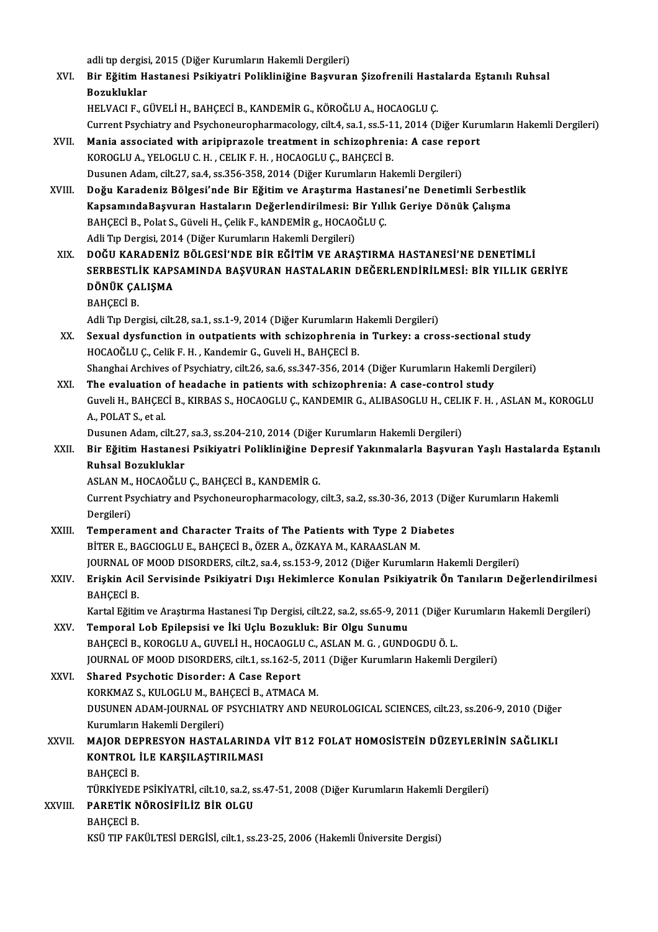adli tıp dergisi, 2015 (Diğer Kurumların Hakemli Dergileri)<br>Pir Eğitim Hastanosi Beikiyatri Bolikliniğine Basyuna

- adli tıp dergisi, 2015 (Diğer Kurumların Hakemli Dergileri)<br>XVI. Bir Eğitim Hastanesi Psikiyatri Polikliniğine Başvuran Şizofrenili Hastalarda Eştanılı Ruhsal adli tip dergisi<br><mark>Bir Eğitim H</mark><br>Bozukluklar<br>HELVACLE C Bir Eğitim Hastanesi Psikiyatri Polikliniğine Başvuran Şizofrenili Hast<br>Bozukluklar<br>HELVACI F., GÜVELİ H., BAHÇECİ B., KANDEMİR G., KÖROĞLU A., HOCAOGLU Ç.<br>Current Pevchistru and Pevchaneuranharmasaları: silt 4, sa 1, sa 5 Bozukluklar<br>HELVACI F., GÜVELİ H., BAHÇECİ B., KANDEMİR G., KÖROĞLU A., HOCAOGLU Ç.<br>Current Psychiatry and Psychoneuropharmacology, cilt.4, sa.1, ss.5-11, 2014 (Diğer Kurumların Hakemli Dergileri) HELVACI F., GÜVELİ H., BAHÇECİ B., KANDEMİR G., KÖROĞLU A., HOCAOGLU Ç.<br>Current Psychiatry and Psychoneuropharmacology, cilt4, sa.1, ss.5-11, 2014 (Diğer Kuru<br>XVII. Mania associated with aripiprazole treatment in schizophr Mania associated with aripiprazole treatment in schizophrenia: A case rep<br>KOROGLU A., YELOGLU C. H. , CELIK F. H. , HOCAOGLU Ç., BAHÇECİ B.<br>Dusunen Adam, cilt.27, sa.4, ss.356-358, 2014 (Diğer Kurumların Hakemli Dergileri)
	- KOROGLU A., YELOGLU C. H. , CELIK F. H. , HOCAOGLU Ç., BAHÇECİ B.<br>Dusunen Adam, cilt.27, sa.4, ss.356-358, 2014 (Diğer Kurumların Hakemli Dergileri)
- XVIII. Doğu Karadeniz Bölgesi'nde Bir Eğitim ve Araştırma Hastanesi'ne Denetimli Serbestlik Dusunen Adam, cilt.27, sa.4, ss.356-358, 2014 (Diğer Kurumların Hakemli Dergileri)<br>Doğu Karadeniz Bölgesi'nde Bir Eğitim ve Araştırma Hastanesi'ne Denetimli Serbest<br>KapsamındaBaşvuran Hastaların Değerlendirilmesi: Bir Yıll Doğu Karadeniz Bölgesi'nde Bir Eğitim ve Araştırma Hastar<br>KapsamındaBaşvuran Hastaların Değerlendirilmesi: Bir Yıll<br>BAHÇECİ B., Polat S., Güveli H., Çelik F., kANDEMİR g., HOCAOĞLU Ç.<br>Adli Tın Dorgisi 3014 (Diğer Kurumları KapsamındaBaşvuran Hastaların Değerlendirilmesi: B<br>BAHÇECİ B., Polat S., Güveli H., Çelik F., kANDEMİR g., HOCAO<br>Adli Tıp Dergisi, 2014 (Diğer Kurumların Hakemli Dergileri)<br>DOČU KABADENİZ BÖLCESİ'NDE BİR FĞİTİM VE ARAS BAHÇECİ B., Polat S., Güveli H., Çelik F., kANDEMİR g., HOCAOĞLU Ç.<br>Adli Tıp Dergisi, 2014 (Diğer Kurumların Hakemli Dergileri)<br>XIX. DOĞU KARADENİZ BÖLGESİ'NDE BİR EĞİTİM VE ARAŞTIRMA HASTANESİ'NE DENETİMLİ<br>SERRESTI İK
	- Adlı Tıp Dergisi, 2014 (Diğer Kurumların Hakemli Dergileri)<br>DOĞU KARADENİZ BÖLGESİ'NDE BİR EĞİTİM VE ARAŞTIRMA HASTANESİ'NE DENETİMLİ<br>SERBESTLİK KAPSAMINDA BAŞVURAN HASTALARIN DEĞERLENDİRİLMESİ: BİR YILLIK GERİYE<br>DÖNÜK ÇAL DOĞU KARADENİZ<br>SERBESTLİK KAPS<br>DÖNÜK ÇALIŞMA<br>BAHCECİ B SERBESTLİK KAPSAMINDA BAŞVURAN HASTALARIN DEĞERLENDİRİLMESİ: BİR YILLIK GERİYE<br>DÖNÜK ÇALIŞMA<br>BAHÇECİ B. DÖNÜK ÇALIŞMA<br>BAHÇECİ B.<br>Adli Tıp Dergisi, cilt.28, sa.1, ss.1-9, 2014 (Diğer Kurumların Hakemli Dergileri)<br>Sevual dvefungtion in outpotionta vuth sehizonbusaja in Tunkevus azo
		-

- XX. Sexual dysfunction in outpatients with schizophrenia in Turkey: a cross-sectional study HOCAOĞLU C., Celik F. H., Kandemir G., Guveli H., BAHCECI B. Adli Tıp Dergisi, cilt.28, sa.1, ss.1-9, 2014 (Diğer Kurumların F.<br>Sexual dysfunction in outpatients with schizophrenia<br>HOCAOĞLU Ç., Celik F. H. , Kandemir G., Guveli H., BAHÇECİ B.<br>Shanghai Arehiyes of Peychiatry, silt 26 Sexual dysfunction in outpatients with schizophrenia in Turkey: a cross-sectional study<br>HOCAOĞLU Ç., Celik F. H. , Kandemir G., Guveli H., BAHÇECİ B.<br>Shanghai Archives of Psychiatry, cilt.26, sa.6, ss.347-356, 2014 (Diğer HOCAOĞLU Ç., Celik F. H., Kandemir G., Guveli H., BAHÇECİ B.<br>Shanghai Archives of Psychiatry, cilt.26, sa.6, ss.347-356, 2014 (Diğer Kurumların Hakemli I<br>XXI. The evaluation of headache in patients with schizophrenia: A ca
- Guveli H., BAHÇECİ B., KIRBAS S., HOCAOGLU Ç., KANDEMIR G., ALIBASOGLU H., CELIK F. H. , ASLAN M., KOROGLU<br>A., POLAT S., et al. The evaluation of headache in patients with schizophrenia: A case-control study Guveli H., BAHÇECİ B., KIRBAS S., HOCAOGLU Ç., KANDEMIR G., ALIBASOGLU H., CELI<br>A., POLAT S., et al.<br>Dusunen Adam, cilt.27, sa.3, ss.204-210, 2014 (Diğer Kurumların Hakemli Dergileri)<br>Bir Eğitim Hastanesi Beikiyatri Belikl

A., POLAT S., et al.<br>Dusunen Adam, cilt.27, sa.3, ss.204-210, 2014 (Diğer Kurumların Hakemli Dergileri)<br>XXII. Bir Eğitim Hastanesi Psikiyatri Polikliniğine Depresif Yakınmalarla Başvuran Yaşlı Hastalarda Eştanılı Dusunen Adam, cilt.27<br>Bir Eğitim Hastanes<br>Ruhsal Bozukluklar<br>ASLAN M. HOCAOČLU Bir Eğitim Hastanesi Psikiyatri Polikliniğine De<br>Ruhsal Bozukluklar<br>ASLAN M., HOCAOĞLU Ç., BAHÇECİ B., KANDEMİR G.<br>Current Pevchiatry and Pevchaneurenbarmasaları.

ASLAN M., HOCAOĞLU C., BAHÇECİ B., KANDEMİR G.

Ruhsal Bozukluklar<br>ASLAN M., HOCAOĞLU Ç., BAHÇECİ B., KANDEMİR G.<br>Current Psychiatry and Psychoneuropharmacology, cilt.3, sa.2, ss.30-36, 2013 (Diğer Kurumların Hakemli<br>Dergileri) Current Psychiatry and Psychoneuropharmacology, cilt.3, sa.2, ss.30-36, 2013 (Diğin Dergileri)<br>XXIII. Temperament and Character Traits of The Patients with Type 2 Diabetes<br>PITER E PACCIOCI U.E. PAUCECI P. ÖZER A ÖZKAVA M.

- Dergileri)<br>Temperament and Character Traits of The Patients with Type 2 Di<br>BİTER E., BAGCIOGLU E., BAHÇECİ B., ÖZER A., ÖZKAYA M., KARAASLAN M.<br>JOURNAL OE MOOD DISORDERS. sült 2, sə 4, sə 152, 9, 2012 (Diğer Kurumla Temperament and Character Traits of The Patients with Type 2 Diabetes<br>BİTER E., BAGCIOGLU E., BAHÇECİ B., ÖZER A., ÖZKAYA M., KARAASLAN M.<br>JOURNAL OF MOOD DISORDERS, cilt.2, sa.4, ss.153-9, 2012 (Diğer Kurumların Hakemli D
- BİTER E., BAGCIOGLU E., BAHÇECİ B., ÖZER A., ÖZKAYA M., KARAASLAN M.<br>JOURNAL OF MOOD DISORDERS, cilt.2, sa.4, ss.153-9, 2012 (Diğer Kurumların Hakemli Dergileri)<br>XXIV. Erişkin Acil Servisinde Psikiyatri Dışı Hekimlerce JOURNAL O<br><mark>Erişkin Aci</mark><br>BAHÇECİ B.<br>Kartal Eğitir Erişkin Acil Servisinde Psikiyatri Dışı Hekimlerce Konulan Psikiyatrik Ön Tanıların Değerlendirilmes<br>BAHÇECİ B.<br>Kartal Eğitim ve Araştırma Hastanesi Tıp Dergisi, cilt.22, sa.2, ss.65-9, 2011 (Diğer Kurumların Hakemli Dergi

BAHÇECİ B.<br>Kartal Eğitim ve Araştırma Hastanesi Tıp Dergisi, cilt.22, sa.2, ss.65-9, 201<br>XXV. Temporal Lob Epilepsisi ve İki Uçlu Bozukluk: Bir Olgu Sunumu<br>RAHÇEÇİ B. KOROCLU A. GUNELİ H. HOCAOCLU C. ASLAN M.G. GUND Kartal Eğitim ve Araştırma Hastanesi Tıp Dergisi, cilt.22, sa.2, ss.65-9, 2011 (Diğer K<br>Temporal Lob Epilepsisi ve İki Uçlu Bozukluk: Bir Olgu Sunumu<br>BAHÇECİ B., KOROGLU A., GUVELİ H., HOCAOGLU C., ASLAN M. G. , GUNDOGDU Ö Temporal Lob Epilepsisi ve İki Uçlu Bozukluk: Bir Olgu Sunumu<br>BAHÇECİ B., KOROGLU A., GUVELİ H., HOCAOGLU C., ASLAN M. G. , GUNDOGDU Ö. L.<br>JOURNAL OF MOOD DISORDERS, cilt.1, ss.162-5, 2011 (Diğer Kurumların Hakemli Dergile BAHÇECİ B., KOROGLU A., GUVELİ H., HOCAOGLU<br>JOURNAL OF MOOD DISORDERS, cilt.1, ss.162-5,<br>XXVI. Shared Psychotic Disorder: A Case Report<br>KORKMAZ S. KULOGLU M. BAHÇECİ B. ATMAÇ

FOURNAL OF MOOD DISORDERS, cilt.1, ss.162-5, 201<br>Shared Psychotic Disorder: A Case Report<br>KORKMAZ S., KULOGLU M., BAHÇECİ B., ATMACA M.<br>DUSUNEN ADAM JOUPNAL OF PSYCHLATPY AND NI XXVI. Shared Psychotic Disorder: A Case Report<br>KORKMAZ S., KULOGLU M., BAHÇECİ B., ATMACA M.<br>DUSUNEN ADAM-JOURNAL OF PSYCHIATRY AND NEUROLOGICAL SCIENCES, cilt.23, ss.206-9, 2010 (Diğer<br>Kurumların Hakemli Dergileri) KORKMAZ S., KULOGLU M., BAHÇECİ B., ATMACA M. DUSUNEN ADAM-JOURNAL OF PSYCHIATRY AND NEUROLOGICAL SCIENCES, cilt.23, ss.206-9, 2010 (Diğer Kurumların Hakemli Dergileri)<br>XXVII. MAJOR DEPRESYON HASTALARINDA VİT B12 FOLAT HOMOSİSTEİN DÜZEYLERİNİN SAĞLIKLI

## Kurumların Hakemli Dergileri)<br>MAJOR DEPRESYON HASTALARIND.<br>KONTROL İLE KARŞILAŞTIRILMASI<br>PAHCECİ P MAJOR DEN<br>KONTROL<br>BAHÇECİ B.<br>TÜRKİYEDE KONTROL İLE KARŞILAŞTIRILMASI<br>BAHÇECİ B.<br>TÜRKİYEDE PSİKİYATRİ, cilt.10, sa.2, ss.47-51, 2008 (Diğer Kurumların Hakemli Dergileri)

## BAHÇECİ B.<br>TÜRKİYEDE PSİKİYATRİ, cilt.10, sa.2, s<br>XXVIII. PARETİK NÖROSİFİLİZ BİR OLGU TÜRKİYEDE<br><mark>PARETİK N</mark><br>BAHÇECİ B.<br>KSÜ TIP FAI

BAHÇECİ B.<br>KSÜ TIP FAKÜLTESİ DERGİSİ, cilt.1, ss.23-25, 2006 (Hakemli Üniversite Dergisi)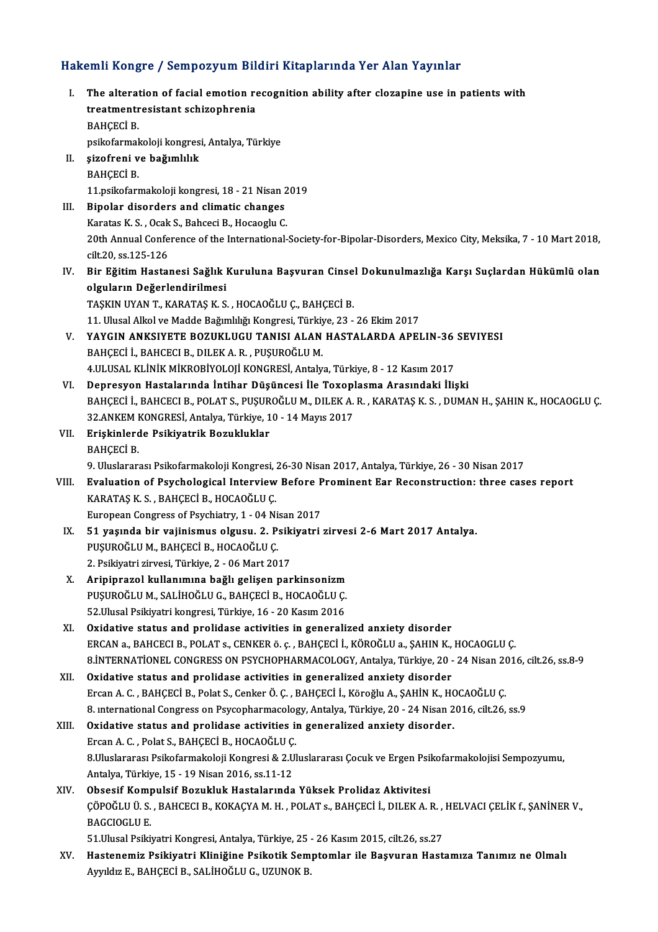# Hakemli Kongre / Sempozyum Bildiri Kitaplarında Yer Alan Yayınlar<br>Hakemli Kongre / Sempozyum Bildiri Kitaplarında Yer Alan Yayınlar

| Hakemli Kongre / Sempozyum Bildiri Kitaplarında Yer Alan Yayınlar |                                                                                                                                                  |
|-------------------------------------------------------------------|--------------------------------------------------------------------------------------------------------------------------------------------------|
| L.                                                                | The alteration of facial emotion recognition ability after clozapine use in patients with<br>treatmentresistant schizophrenia                    |
|                                                                   | <b>BAHÇECİ B.</b>                                                                                                                                |
|                                                                   | psikofarmakoloji kongresi, Antalya, Türkiye                                                                                                      |
| Н.                                                                | şizofreni ve bağımlılık                                                                                                                          |
|                                                                   | <b>BAHÇECİ B.</b>                                                                                                                                |
|                                                                   | 11.psikofarmakoloji kongresi, 18 - 21 Nisan 2019                                                                                                 |
| III.                                                              | Bipolar disorders and climatic changes                                                                                                           |
|                                                                   | Karatas K. S., Ocak S., Bahceci B., Hocaoglu C.                                                                                                  |
|                                                                   | 20th Annual Conference of the International-Society-for-Bipolar-Disorders, Mexico City, Meksika, 7 - 10 Mart 2018,                               |
|                                                                   | cilt.20, ss.125-126                                                                                                                              |
| IV.                                                               | Bir Eğitim Hastanesi Sağlık Kuruluna Başvuran Cinsel Dokunulmazlığa Karşı Suçlardan Hükümlü olan<br>olguların Değerlendirilmesi                  |
|                                                                   | TAŞKIN UYAN T., KARATAŞ K. S., HOCAOĞLU Ç., BAHÇECİ B.                                                                                           |
|                                                                   | 11. Ulusal Alkol ve Madde Bağımlılığı Kongresi, Türkiye, 23 - 26 Ekim 2017                                                                       |
| V.                                                                | YAYGIN ANKSIYETE BOZUKLUGU TANISI ALAN HASTALARDA APELIN-36 SEVIYESI                                                                             |
|                                                                   | BAHÇECİ İ., BAHCECI B., DILEK A. R., PUŞUROĞLU M.                                                                                                |
|                                                                   | 4.ULUSAL KLİNİK MİKROBİYOLOJİ KONGRESİ, Antalya, Türkiye, 8 - 12 Kasım 2017                                                                      |
| VI.                                                               | Depresyon Hastalarında İntihar Düşüncesi İle Toxoplasma Arasındaki İlişki                                                                        |
|                                                                   | BAHÇECİ İ., BAHCECI B., POLAT S., PUŞUROĞLU M., DILEK A. R., KARATAŞ K. S., DUMAN H., ŞAHIN K., HOCAOGLU Ç.                                      |
|                                                                   | 32.ANKEM KONGRESİ, Antalya, Türkiye, 10 - 14 Mayıs 2017                                                                                          |
| VII.                                                              | Erişkinlerde Psikiyatrik Bozukluklar                                                                                                             |
|                                                                   | <b>BAHÇECİ B</b>                                                                                                                                 |
|                                                                   | 9. Uluslararası Psikofarmakoloji Kongresi, 26-30 Nisan 2017, Antalya, Türkiye, 26 - 30 Nisan 2017                                                |
| VIII.                                                             | Evaluation of Psychological Interview Before Prominent Ear Reconstruction: three cases report                                                    |
|                                                                   | KARATAŞ K. S., BAHÇECİ B., HOCAOĞLU Ç.                                                                                                           |
|                                                                   | European Congress of Psychiatry, 1 - 04 Nisan 2017                                                                                               |
| IX.                                                               | 51 yaşında bir vajinismus olgusu. 2. Psikiyatri zirvesi 2-6 Mart 2017 Antalya.                                                                   |
|                                                                   | PUŞUROĞLU M., BAHÇECİ B., HOCAOĞLU Ç.                                                                                                            |
|                                                                   | 2. Psikiyatri zirvesi, Türkiye, 2 - 06 Mart 2017                                                                                                 |
| X.                                                                | Aripiprazol kullanımına bağlı gelişen parkinsonizm                                                                                               |
|                                                                   | PUȘUROĞLU M., SALİHOĞLU G., BAHÇECİ B., HOCAOĞLU Ç.                                                                                              |
|                                                                   | 52 Ulusal Psikiyatri kongresi, Türkiye, 16 - 20 Kasım 2016                                                                                       |
| XI.                                                               | Oxidative status and prolidase activities in generalized anxiety disorder                                                                        |
|                                                                   | ERCAN a., BAHCECI B., POLAT s., CENKER ö. ç. , BAHÇECİ İ., KÖROĞLU a., ŞAHIN K., HOCAOGLU Ç.                                                     |
|                                                                   | 8. INTERNATIONEL CONGRESS ON PSYCHOPHARMACOLOGY, Antalya, Türkiye, 20 - 24 Nisan 2016, cilt.26, ss.8-9                                           |
| XII.                                                              | Oxidative status and prolidase activities in generalized anxiety disorder                                                                        |
|                                                                   | Ercan A. C., BAHÇECİ B., Polat S., Cenker Ö. Ç., BAHÇECİ İ., Köroğlu A., ŞAHİN K., HOCAOĞLU Ç.                                                   |
|                                                                   | 8. International Congress on Psycopharmacology, Antalya, Türkiye, 20 - 24 Nisan 2016, cilt.26, ss.9                                              |
| XIII.                                                             | Oxidative status and prolidase activities in generalized anxiety disorder.                                                                       |
|                                                                   | Ercan A. C., Polat S., BAHÇECİ B., HOCAOĞLU Ç.                                                                                                   |
|                                                                   | 8.Uluslararası Psikofarmakoloji Kongresi & 2.Uluslararası Çocuk ve Ergen Psikofarmakolojisi Sempozyumu,                                          |
|                                                                   | Antalya, Türkiye, 15 - 19 Nisan 2016, ss 11-12                                                                                                   |
| XIV.                                                              | Obsesif Kompulsif Bozukluk Hastalarında Yüksek Prolidaz Aktivitesi                                                                               |
|                                                                   | ÇÖPOĞLU Ü. S. , BAHCECI B., KOKAÇYA M. H. , POLAT s., BAHÇECİ İ., DILEK A. R. , HELVACI ÇELİK f., ŞANİNER V.,                                    |
|                                                                   | <b>BAGCIOGLU E</b>                                                                                                                               |
|                                                                   | 51 Ulusal Psikiyatri Kongresi, Antalya, Türkiye, 25 - 26 Kasım 2015, cilt 26, ss 27                                                              |
| XV.                                                               | Hastenemiz Psikiyatri Kliniğine Psikotik Semptomlar ile Başvuran Hastamıza Tanımız ne Olmalı<br>Ayyıldız E., BAHÇECİ B., SALİHOĞLU G., UZUNOK B. |